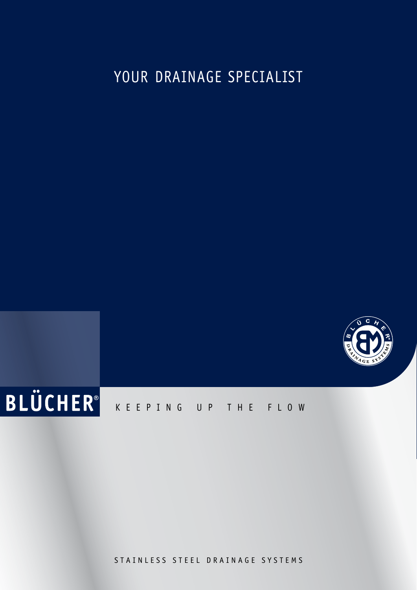# YOUR DRAINAGE SPECIALIST





STAINLESS STEEL DRAINAGE SYSTEMS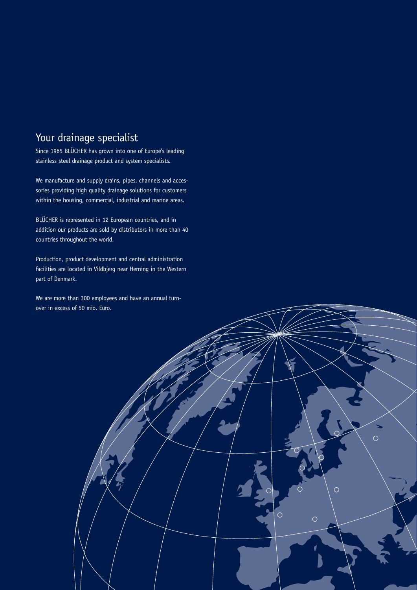# Your drainage specialist

Since 1965 BLÜCHER has grown into one of Europe's leading stainless steel drainage product and system specialists.

We manufacture and supply drains, pipes, channels and accessories providing high quality drainage solutions for customers within the housing, commercial, industrial and marine areas.

BLÜCHER is represented in 12 European countries, and in addition our products are sold by distributors in more than 40 countries throughout the world.

Production, product development and central administration facilities are located in Vildbjerg near Herning in the Western part of Denmark.

We are more than 300 employees and have an annual turnover in excess of 50 mio. Euro.

 $\circ$ 

 $\overline{O}$ 

 $\circ$ 

 $\overline{O}$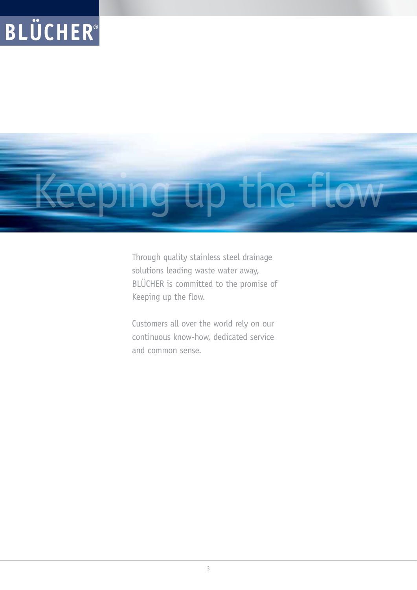# Keeping up the flow

Through quality stainless steel drainage solutions leading waste water away, BLÜCHER is committed to the promise of Keeping up the flow.

Customers all over the world rely on our continuous know-how, dedicated service and common sense.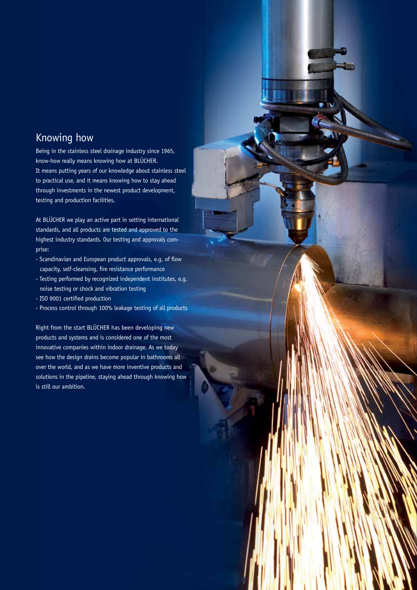### Knowing how

Being in the stainless steel drainage industry since 1965, know-how really means knowing how at BLÜCHER. It means putting years of our knowledge about stainless steel to practical use, and it means knowing how to stay ahead through investments in the newest product development, testing and production facilities.

At BLÜCHER we play an active part in setting international standards, and all products are tested and approved to the highest industry standards. Our testing and approvals comprise:

- Scandinavian and European product approvals, e.g. of flow capacity, self-cleansing, fire resistance performance
- Testing performed by recognized independent institutes, e.g. noise testing or shock and vibration testing
- ISO 9001 certified production
- Process control through 100% leakage testing of all products

Right from the start BLÜCHER has been developing new products and systems and is considered one of the most innovative companies within indoor drainage. As we today see how the design drains become popular in bathrooms all over the world, and as we have more inventive products and solutions in the pipeline, staying ahead through knowing how is still our ambition.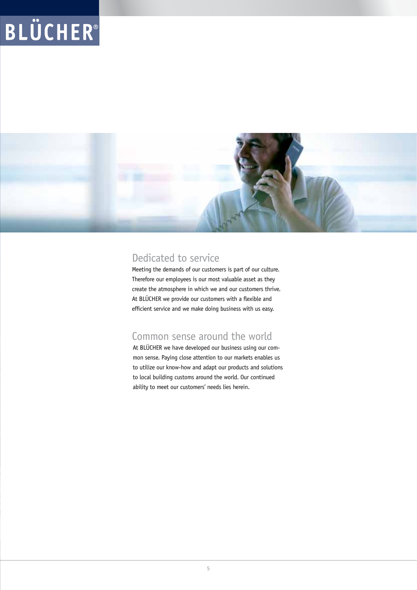

### Dedicated to service

Meeting the demands of our customers is part of our culture. Therefore our employees is our most valuable asset as they create the atmosphere in which we and our customers thrive. At BLÜCHER we provide our customers with a flexible and efficient service and we make doing business with us easy.

### Common sense around the world

At BLÜCHER we have developed our business using our common sense. Paying close attention to our markets enables us to utilize our know-how and adapt our products and solutions to local building customs around the world. Our continued ability to meet our customers' needs lies herein.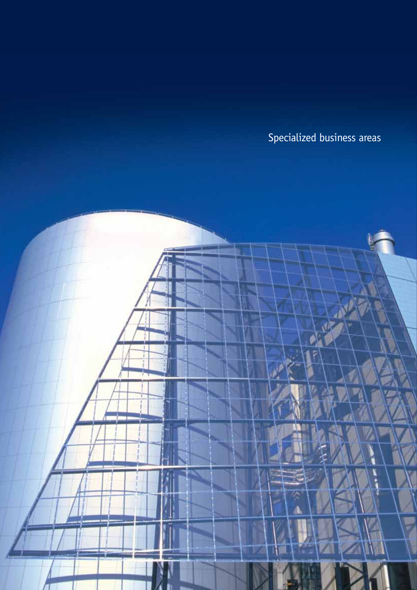Specialized business areas

Ø. f.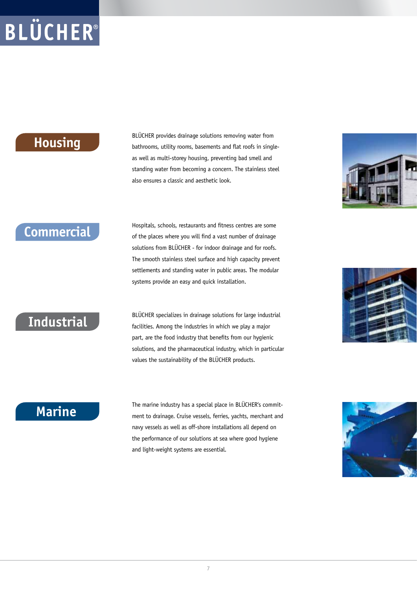## **Housing**

BLÜCHER provides drainage solutions removing water from bathrooms, utility rooms, basements and flat roofs in singleas well as multi-storey housing, preventing bad smell and standing water from becoming a concern. The stainless steel also ensures a classic and aesthetic look.



# **Commercial**

Hospitals, schools, restaurants and fitness centres are some of the places where you will find a vast number of drainage solutions from BLÜCHER - for indoor drainage and for roofs. The smooth stainless steel surface and high capacity prevent settlements and standing water in public areas. The modular systems provide an easy and quick installation.

# **Industrial**

BLÜCHER specializes in drainage solutions for large industrial facilities. Among the industries in which we play a major part, are the food industry that benefits from our hygienic solutions, and the pharmaceutical industry, which in particular values the sustainability of the BLÜCHER products.

# **Marine**

The marine industry has a special place in BLÜCHER's commitment to drainage. Cruise vessels, ferries, yachts, merchant and navy vessels as well as off-shore installations all depend on the performance of our solutions at sea where good hygiene and light-weight systems are essential.



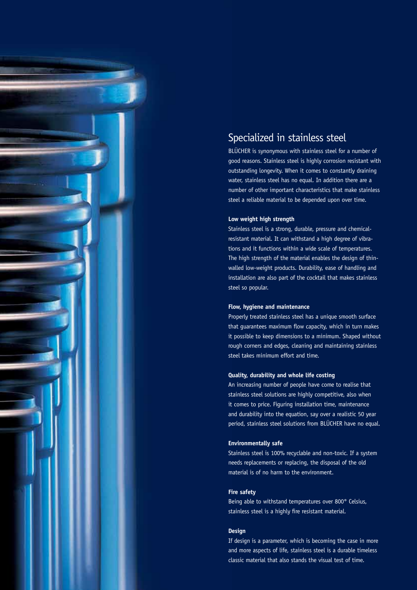

### Specialized in stainless steel

BLÜCHER is synonymous with stainless steel for a number of good reasons. Stainless steel is highly corrosion resistant with outstanding longevity. When it comes to constantly draining water, stainless steel has no equal. In addition there are a number of other important characteristics that make stainless steel a reliable material to be depended upon over time.

#### **Low weight high strength**

Stainless steel is a strong, durable, pressure and chemicalresistant material. It can withstand a high degree of vibrations and it functions within a wide scale of temperatures. The high strength of the material enables the design of thinwalled low-weight products. Durability, ease of handling and installation are also part of the cocktail that makes stainless steel so popular.

#### **Flow, hygiene and maintenance**

Properly treated stainless steel has a unique smooth surface that guarantees maximum flow capacity, which in turn makes it possible to keep dimensions to a minimum. Shaped without rough corners and edges, cleaning and maintaining stainless steel takes minimum effort and time.

#### **Quality, durability and whole life costing**

An increasing number of people have come to realise that stainless steel solutions are highly competitive, also when it comes to price. Figuring installation time, maintenance and durability into the equation, say over a realistic 50 year period, stainless steel solutions from BLÜCHER have no equal.

#### **Environmentally safe**

Stainless steel is 100% recyclable and non-toxic. If a system needs replacements or replacing, the disposal of the old material is of no harm to the environment.

#### **Fire safety**

Being able to withstand temperatures over 800° Celsius, stainless steel is a highly fire resistant material.

#### **Design**

If design is a parameter, which is becoming the case in more and more aspects of life, stainless steel is a durable timeless classic material that also stands the visual test of time.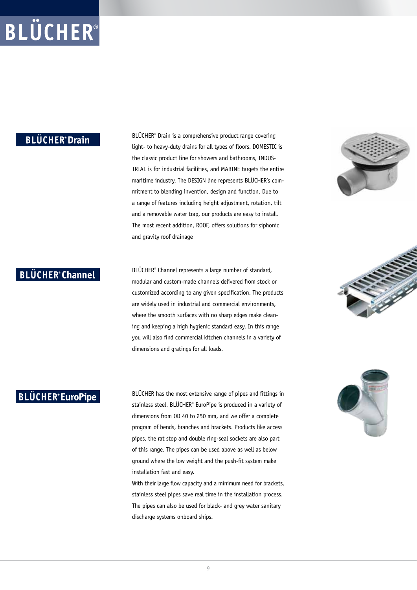#### **BLÜCHER**<sup>*o*</sup> Drain

BLÜCHER® Drain is a comprehensive product range covering light- to heavy-duty drains for all types of floors. DOMESTIC is the classic product line for showers and bathrooms, INDUS-TRIAL is for industrial facilities, and MARINE targets the entire maritime industry. The DESIGN line represents BLÜCHER's commitment to blending invention, design and function. Due to a range of features including height adjustment, rotation, tilt and a removable water trap, our products are easy to install. The most recent addition, ROOF, offers solutions for siphonic and gravity roof drainage



BLÜCHER® Channel represents a large number of standard, modular and custom-made channels delivered from stock or customized according to any given specification. The products are widely used in industrial and commercial environments, where the smooth surfaces with no sharp edges make cleaning and keeping a high hygienic standard easy. In this range you will also find commercial kitchen channels in a variety of dimensions and gratings for all loads.

### **BLÜCHER**<sup>®</sup> EuroPipe

BLÜCHER has the most extensive range of pipes and fittings in stainless steel. BLÜCHER® EuroPipe is produced in a variety of dimensions from OD 40 to 250 mm, and we offer a complete program of bends, branches and brackets. Products like access pipes, the rat stop and double ring-seal sockets are also part of this range. The pipes can be used above as well as below ground where the low weight and the push-fit system make installation fast and easy.

With their large flow capacity and a minimum need for brackets, stainless steel pipes save real time in the installation process. The pipes can also be used for black- and grey water sanitary discharge systems onboard ships.





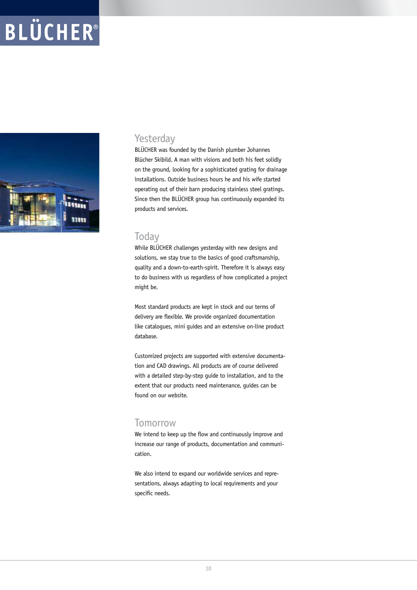

#### Yesterday

BLÜCHER was founded by the Danish plumber Johannes Blücher Skibild. A man with visions and both his feet solidly on the ground, looking for a sophisticated grating for drainage installations. Outside business hours he and his wife started operating out of their barn producing stainless steel gratings. Since then the BLÜCHER group has continuously expanded its products and services.

#### **Today**

While BLÜCHER challenges yesterday with new designs and solutions, we stay true to the basics of good craftsmanship, quality and a down-to-earth-spirit. Therefore it is always easy to do business with us regardless of how complicated a project might be.

Most standard products are kept in stock and our terms of delivery are flexible. We provide organized documentation like catalogues, mini guides and an extensive on-line product database.

Customized projects are supported with extensive documentation and CAD drawings. All products are of course delivered with a detailed step-by-step guide to installation, and to the extent that our products need maintenance, guides can be found on our website.

#### Tomorrow

We intend to keep up the flow and continuously improve and increase our range of products, documentation and communication.

We also intend to expand our worldwide services and representations, always adapting to local requirements and your specific needs.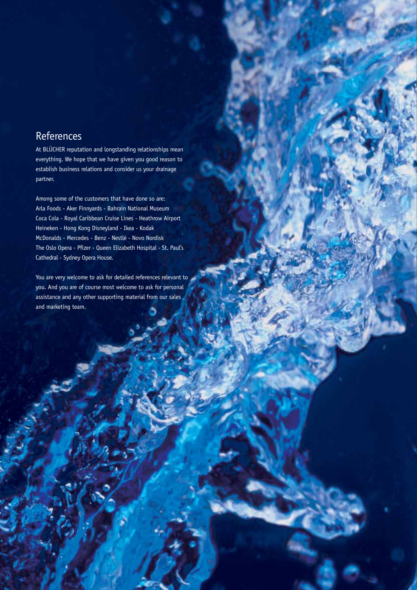### References

At BLÜCHER reputation and longstanding relationships mean everything. We hope that we have given you good reason to establish business relations and consider us your drainage partner.

Among some of the customers that have done so are: Arla Foods - Aker Finnyards - Bahrain National Museum Coca Cola - Royal Caribbean Cruise Lines - Heathrow Airport Heineken - Hong Kong Disneyland - Ikea - Kodak McDonalds - Mercedes - Benz - Nestlé - Novo Nordisk The Oslo Opera - Pfizer - Queen Elizabeth Hospital - St. Paul's Cathedral - Sydney Opera House.

You are very welcome to ask for detailed references relevant to you. And you are of course most welcome to ask for personal assistance and any other supporting material from our sales and marketing team.